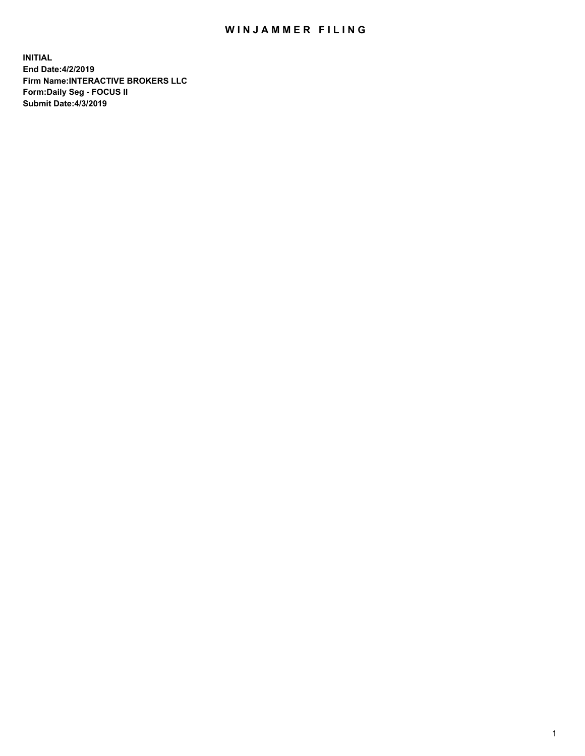## WIN JAMMER FILING

**INITIAL End Date:4/2/2019 Firm Name:INTERACTIVE BROKERS LLC Form:Daily Seg - FOCUS II Submit Date:4/3/2019**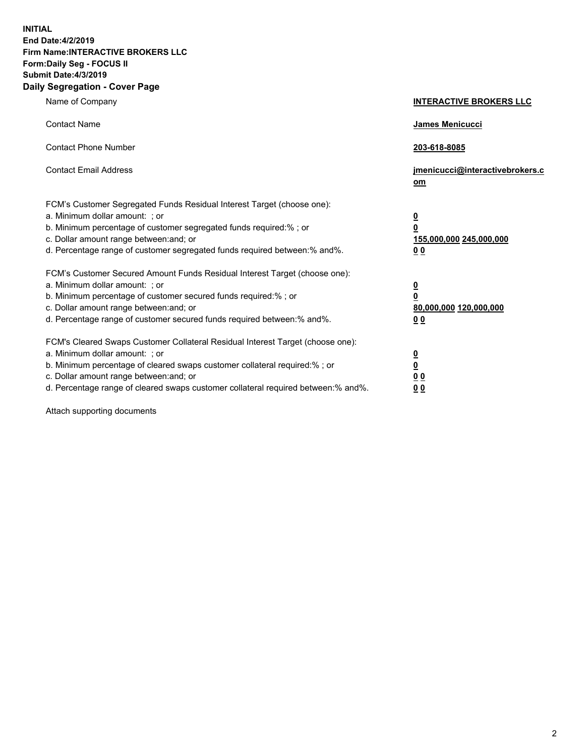**INITIAL End Date:4/2/2019 Firm Name:INTERACTIVE BROKERS LLC Form:Daily Seg - FOCUS II Submit Date:4/3/2019 Daily Segregation - Cover Page**

| Name of Company                                                                                                                                                                                                                                                                                                                | <b>INTERACTIVE BROKERS LLC</b>                                                      |
|--------------------------------------------------------------------------------------------------------------------------------------------------------------------------------------------------------------------------------------------------------------------------------------------------------------------------------|-------------------------------------------------------------------------------------|
| <b>Contact Name</b>                                                                                                                                                                                                                                                                                                            | James Menicucci                                                                     |
| <b>Contact Phone Number</b>                                                                                                                                                                                                                                                                                                    | 203-618-8085                                                                        |
| <b>Contact Email Address</b>                                                                                                                                                                                                                                                                                                   | jmenicucci@interactivebrokers.c<br>om                                               |
| FCM's Customer Segregated Funds Residual Interest Target (choose one):<br>a. Minimum dollar amount: ; or<br>b. Minimum percentage of customer segregated funds required:% ; or<br>c. Dollar amount range between: and; or<br>d. Percentage range of customer segregated funds required between:% and%.                         | $\overline{\mathbf{0}}$<br>$\overline{\mathbf{0}}$<br>155,000,000 245,000,000<br>00 |
| FCM's Customer Secured Amount Funds Residual Interest Target (choose one):<br>a. Minimum dollar amount: ; or<br>b. Minimum percentage of customer secured funds required:% ; or<br>c. Dollar amount range between: and; or<br>d. Percentage range of customer secured funds required between:% and%.                           | $\overline{\mathbf{0}}$<br>$\pmb{0}$<br>80,000,000 120,000,000<br>00                |
| FCM's Cleared Swaps Customer Collateral Residual Interest Target (choose one):<br>a. Minimum dollar amount: ; or<br>b. Minimum percentage of cleared swaps customer collateral required:% ; or<br>c. Dollar amount range between: and; or<br>d. Percentage range of cleared swaps customer collateral required between:% and%. | $\overline{\mathbf{0}}$<br>$\underline{\mathbf{0}}$<br>0 <sub>0</sub><br>00         |

Attach supporting documents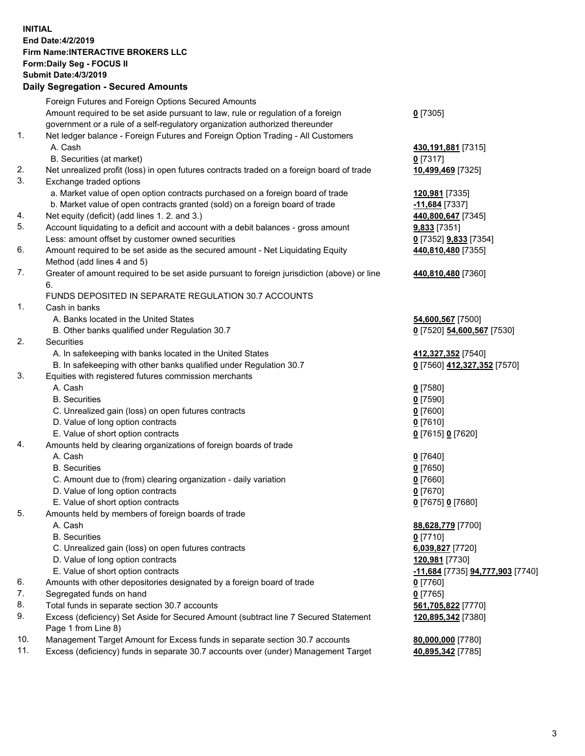## **INITIAL End Date:4/2/2019 Firm Name:INTERACTIVE BROKERS LLC Form:Daily Seg - FOCUS II Submit Date:4/3/2019 Daily Segregation - Secured Amounts**

|     | 2011, Ocgi ogation - Oceaned Anioanita                                                                     |                                  |
|-----|------------------------------------------------------------------------------------------------------------|----------------------------------|
|     | Foreign Futures and Foreign Options Secured Amounts                                                        |                                  |
|     | Amount required to be set aside pursuant to law, rule or regulation of a foreign                           | $0$ [7305]                       |
|     | government or a rule of a self-regulatory organization authorized thereunder                               |                                  |
| 1.  | Net ledger balance - Foreign Futures and Foreign Option Trading - All Customers                            |                                  |
|     | A. Cash                                                                                                    | 430, 191, 881 [7315]             |
|     | B. Securities (at market)                                                                                  | $0$ [7317]                       |
| 2.  | Net unrealized profit (loss) in open futures contracts traded on a foreign board of trade                  | 10,499,469 [7325]                |
| 3.  | Exchange traded options                                                                                    |                                  |
|     | a. Market value of open option contracts purchased on a foreign board of trade                             | 120,981 [7335]                   |
|     | b. Market value of open contracts granted (sold) on a foreign board of trade                               | -11,684 [7337]                   |
| 4.  | Net equity (deficit) (add lines 1. 2. and 3.)                                                              | 440,800,647 [7345]               |
| 5.  | Account liquidating to a deficit and account with a debit balances - gross amount                          | 9,833 [7351]                     |
|     | Less: amount offset by customer owned securities                                                           | 0 [7352] 9,833 [7354]            |
| 6.  | Amount required to be set aside as the secured amount - Net Liquidating Equity                             | 440,810,480 [7355]               |
|     | Method (add lines 4 and 5)                                                                                 |                                  |
| 7.  | Greater of amount required to be set aside pursuant to foreign jurisdiction (above) or line                | 440,810,480 [7360]               |
|     | 6.                                                                                                         |                                  |
|     | FUNDS DEPOSITED IN SEPARATE REGULATION 30.7 ACCOUNTS                                                       |                                  |
| 1.  | Cash in banks                                                                                              |                                  |
|     | A. Banks located in the United States                                                                      | 54,600,567 [7500]                |
|     | B. Other banks qualified under Regulation 30.7                                                             | 0 [7520] 54,600,567 [7530]       |
| 2.  | Securities                                                                                                 |                                  |
|     | A. In safekeeping with banks located in the United States                                                  | 412,327,352 [7540]               |
|     | B. In safekeeping with other banks qualified under Regulation 30.7                                         | 0 [7560] 412,327,352 [7570]      |
| 3.  | Equities with registered futures commission merchants                                                      |                                  |
|     | A. Cash                                                                                                    | $0$ [7580]                       |
|     | <b>B.</b> Securities                                                                                       | $0$ [7590]                       |
|     | C. Unrealized gain (loss) on open futures contracts                                                        | $0$ [7600]                       |
|     | D. Value of long option contracts                                                                          | $0$ [7610]                       |
|     | E. Value of short option contracts                                                                         | 0 [7615] 0 [7620]                |
| 4.  | Amounts held by clearing organizations of foreign boards of trade                                          |                                  |
|     | A. Cash                                                                                                    | $0$ [7640]                       |
|     | <b>B.</b> Securities                                                                                       | $0$ [7650]                       |
|     | C. Amount due to (from) clearing organization - daily variation                                            | $0$ [7660]                       |
|     | D. Value of long option contracts                                                                          | $0$ [7670]                       |
|     | E. Value of short option contracts                                                                         | 0 [7675] 0 [7680]                |
| 5.  | Amounts held by members of foreign boards of trade                                                         |                                  |
|     | A. Cash                                                                                                    | 88,628,779 [7700]                |
|     | <b>B.</b> Securities                                                                                       | $0$ [7710]                       |
|     | C. Unrealized gain (loss) on open futures contracts                                                        | 6,039,827 [7720]                 |
|     | D. Value of long option contracts                                                                          | 120,981 [7730]                   |
|     | E. Value of short option contracts                                                                         | -11,684 [7735] 94,777,903 [7740] |
| 6.  | Amounts with other depositories designated by a foreign board of trade                                     | 0 [7760]                         |
| 7.  | Segregated funds on hand                                                                                   | $0$ [7765]                       |
| 8.  | Total funds in separate section 30.7 accounts                                                              | 561,705,822 [7770]               |
| 9.  | Excess (deficiency) Set Aside for Secured Amount (subtract line 7 Secured Statement<br>Page 1 from Line 8) | 120,895,342 [7380]               |
| 10. | Management Target Amount for Excess funds in separate section 30.7 accounts                                | 80,000,000 [7780]                |
| 11. | Excess (deficiency) funds in separate 30.7 accounts over (under) Management Target                         | 40,895,342 [7785]                |
|     |                                                                                                            |                                  |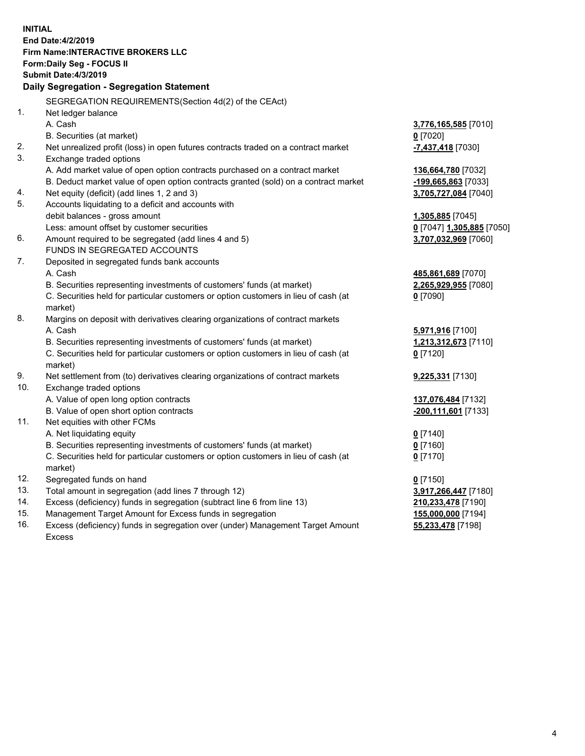|     | <b>INITIAL</b>                                                                      |                                    |
|-----|-------------------------------------------------------------------------------------|------------------------------------|
|     | End Date: 4/2/2019                                                                  |                                    |
|     | <b>Firm Name:INTERACTIVE BROKERS LLC</b>                                            |                                    |
|     | Form: Daily Seg - FOCUS II                                                          |                                    |
|     | <b>Submit Date: 4/3/2019</b>                                                        |                                    |
|     | Daily Segregation - Segregation Statement                                           |                                    |
|     | SEGREGATION REQUIREMENTS(Section 4d(2) of the CEAct)                                |                                    |
| 1.  | Net ledger balance                                                                  |                                    |
|     | A. Cash                                                                             | 3,776,165,585 [7010]               |
|     | B. Securities (at market)                                                           | $0$ [7020]                         |
| 2.  | Net unrealized profit (loss) in open futures contracts traded on a contract market  | -7,437,418 [7030]                  |
| 3.  | Exchange traded options                                                             |                                    |
|     | A. Add market value of open option contracts purchased on a contract market         | 136,664,780 [7032]                 |
|     | B. Deduct market value of open option contracts granted (sold) on a contract market | -199,665,863 [7033]                |
| 4.  | Net equity (deficit) (add lines 1, 2 and 3)                                         | 3,705,727,084 [7040]               |
| 5.  | Accounts liquidating to a deficit and accounts with                                 |                                    |
|     | debit balances - gross amount                                                       | 1,305,885 [7045]                   |
|     | Less: amount offset by customer securities                                          | 0 [7047] 1,305,885 [7050]          |
| 6.  | Amount required to be segregated (add lines 4 and 5)                                | 3,707,032,969 [7060]               |
|     | FUNDS IN SEGREGATED ACCOUNTS                                                        |                                    |
| 7.  | Deposited in segregated funds bank accounts                                         |                                    |
|     | A. Cash                                                                             | 485,861,689 [7070]                 |
|     | B. Securities representing investments of customers' funds (at market)              | 2,265,929,955 [7080]               |
|     | C. Securities held for particular customers or option customers in lieu of cash (at | $0$ [7090]                         |
|     | market)                                                                             |                                    |
| 8.  | Margins on deposit with derivatives clearing organizations of contract markets      |                                    |
|     | A. Cash                                                                             | 5,971,916 [7100]                   |
|     | B. Securities representing investments of customers' funds (at market)              | 1,213,312,673 [7110]               |
|     | C. Securities held for particular customers or option customers in lieu of cash (at | $0$ [7120]                         |
|     | market)                                                                             |                                    |
| 9.  | Net settlement from (to) derivatives clearing organizations of contract markets     | 9,225,331 [7130]                   |
| 10. | Exchange traded options                                                             |                                    |
|     | A. Value of open long option contracts                                              | 137,076,484 [7132]                 |
|     | B. Value of open short option contracts                                             | -200,111,601 [7133]                |
| 11. | Net equities with other FCMs                                                        |                                    |
|     | A. Net liquidating equity                                                           | $0$ [7140]                         |
|     | B. Securities representing investments of customers' funds (at market)              | $0$ [7160]                         |
|     | C. Securities held for particular customers or option customers in lieu of cash (at | $0$ [7170]                         |
| 12. | market)                                                                             |                                    |
| 13. | Segregated funds on hand<br>Total amount in segregation (add lines 7 through 12)    | $0$ [7150]<br>3,917,266,447 [7180] |
| 14. | Excess (deficiency) funds in segregation (subtract line 6 from line 13)             | 210,233,478 [7190]                 |
| 15. | Management Target Amount for Excess funds in segregation                            | 155,000,000 [7194]                 |
| 16. | Excess (deficiency) funds in segregation over (under) Management Target Amount      | 55,233,478 [7198]                  |
|     |                                                                                     |                                    |

Excess